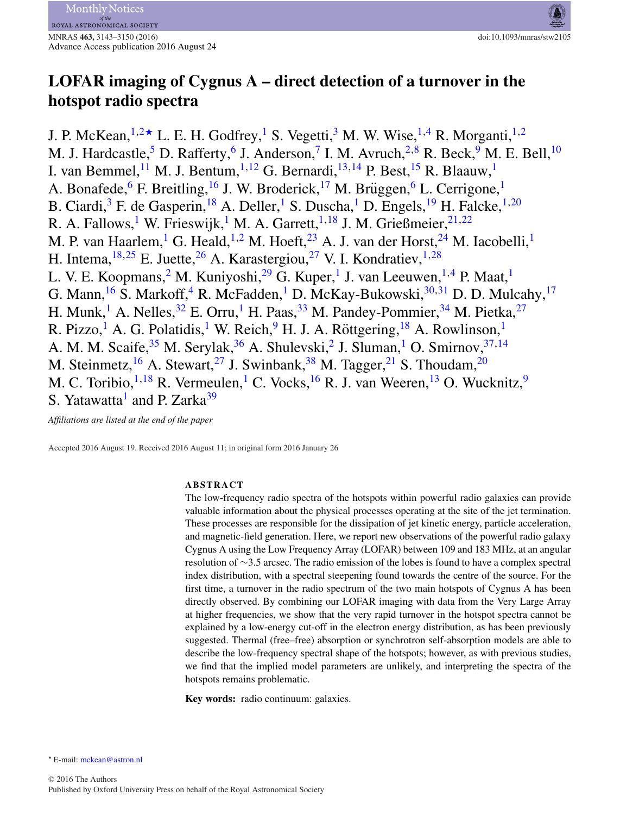# **LOFAR imaging of Cygnus A – direct detection of a turnover in the hotspot radio spectra**

J. P. McKean,  $1,2\star$  $1,2\star$  $1,2\star$  L. E. H. Godfrey, <sup>[1](#page-6-0)</sup> S. Vegetti, <sup>[3](#page-6-2)</sup> M. W. Wise, <sup>1[,4](#page-6-3)</sup> R. Morganti, <sup>1,2</sup> M. J. Hardcastle,<sup>5</sup> D. Rafferty,<sup>6</sup> J. Anderson,<sup>[7](#page-6-6)</sup> I. M. Avruch,<sup>2,[8](#page-6-7)</sup> R. Beck,<sup>[9](#page-6-8)</sup> M. E. Bell,<sup>[10](#page-6-9)</sup> I. van Bemmel, <sup>[11](#page-7-0)</sup> M. J. Bentum, <sup>[1,](#page-6-0) [12](#page-7-1)</sup> G. Bernardi, <sup>13, [14](#page-7-3)</sup> P. Best, <sup>[15](#page-7-4)</sup> R. Blaauw, <sup>[1](#page-6-0)</sup> A. Bonafede,  $6$  F. Breitling,  $16$  J. W. Broderick,  $17$  M. Brüggen,  $6$  L. Cerrigone,  $16$  $16$ B. Ciardi,<sup>[3](#page-6-2)</sup> F. de Gasperin,<sup>[18](#page-7-7)</sup> A. Deller,<sup>[1](#page-6-0)</sup> S. Duscha,<sup>1</sup> D. Engels,<sup>[19](#page-7-8)</sup> H. Falcke,<sup>1,[20](#page-7-9)</sup> R. A. Fallows,<sup>[1](#page-6-0)</sup> W. Frieswijk,<sup>1</sup> M. A. Garrett,<sup>1,[18](#page-7-7)</sup> J. M. Grießmeier,<sup>[21,](#page-7-10)[22](#page-7-11)</sup> M. P. van Haarlem,<sup>[1](#page-6-0)</sup> G. Heald,<sup>[1,](#page-6-0)[2](#page-6-1)</sup> M. Hoeft,<sup>[23](#page-7-12)</sup> A. J. van der Horst,<sup>24</sup> M. Iacobelli,<sup>1</sup> H. Intema,  $18,25$  $18,25$  E. Juette,  $26$  A. Karastergiou,  $27$  V. I. Kondratiev,  $1,28$  $1,28$ L. V. E. Koopmans,  $^2$  $^2$  M. Kuniyoshi,  $^{29}$  $^{29}$  $^{29}$  G. Kuper, <sup>[1](#page-6-0)</sup> J. van Leeuwen, <sup>[1,](#page-6-0)[4](#page-6-3)</sup> P. Maat, <sup>1</sup> G. Mann,<sup>16</sup> S. Markoff,<sup>[4](#page-6-3)</sup> R. McFadden,<sup>[1](#page-6-0)</sup> D. McKay-Bukowski,<sup>30,[31](#page-7-20)</sup> D. D. Mulcahy,<sup>17</sup> H. Munk,<sup>[1](#page-6-0)</sup> A. Nelles,<sup>32</sup> E. Orru,<sup>1</sup> H. Paas,<sup>[33](#page-7-22)</sup> M. Pandey-Pommier,<sup>[34](#page-7-23)</sup> M. Pietka,<sup>[27](#page-7-16)</sup> R. Pizzo,<sup>[1](#page-6-0)</sup> A. G. Polatidis,<sup>1</sup> W. Reich,<sup>[9](#page-6-8)</sup> H. J. A. Röttgering, <sup>[18](#page-7-7)</sup> A. Rowlinson,<sup>1</sup> A. M. M. Scaife,  $35$  M. Serylak,  $36$  A. Shulevski,  $2$  J. Sluman,  $1$  O. Smirnov,  $37,14$  $37,14$ M. Steinmetz,  $^{16}$  $^{16}$  $^{16}$  A. Stewart,  $^{27}$  $^{27}$  $^{27}$  J. Swinbank,  $^{38}$  $^{38}$  $^{38}$  M. Tagger,  $^{21}$  $^{21}$  $^{21}$  S. Thoudam,  $^{20}$  $^{20}$  $^{20}$ M. C. Toribio, $^{1,18}$  $^{1,18}$  $^{1,18}$  $^{1,18}$  R. Vermeulen,<sup>[1](#page-6-0)</sup> C. Vocks, <sup>[16](#page-7-5)</sup> R. J. van Weeren, <sup>13</sup> O. Wucknitz, <sup>9</sup> S. Yatawatta<sup>[1](#page-6-0)</sup> and P. Zarka<sup>[39](#page-7-28)</sup>

*Affiliations are listed at the end of the paper*

Accepted 2016 August 19. Received 2016 August 11; in original form 2016 January 26

## **ABSTRACT**

The low-frequency radio spectra of the hotspots within powerful radio galaxies can provide valuable information about the physical processes operating at the site of the jet termination. These processes are responsible for the dissipation of jet kinetic energy, particle acceleration, and magnetic-field generation. Here, we report new observations of the powerful radio galaxy Cygnus A using the Low Frequency Array (LOFAR) between 109 and 183 MHz, at an angular resolution of ∼3.5 arcsec. The radio emission of the lobes is found to have a complex spectral index distribution, with a spectral steepening found towards the centre of the source. For the first time, a turnover in the radio spectrum of the two main hotspots of Cygnus A has been directly observed. By combining our LOFAR imaging with data from the Very Large Array at higher frequencies, we show that the very rapid turnover in the hotspot spectra cannot be explained by a low-energy cut-off in the electron energy distribution, as has been previously suggested. Thermal (free–free) absorption or synchrotron self-absorption models are able to describe the low-frequency spectral shape of the hotspots; however, as with previous studies, we find that the implied model parameters are unlikely, and interpreting the spectra of the hotspots remains problematic.

**Key words:** radio continuum: galaxies.

<span id="page-0-0"></span>\* E-mail: [mckean@astron.nl](mailto:mckean@astron.nl)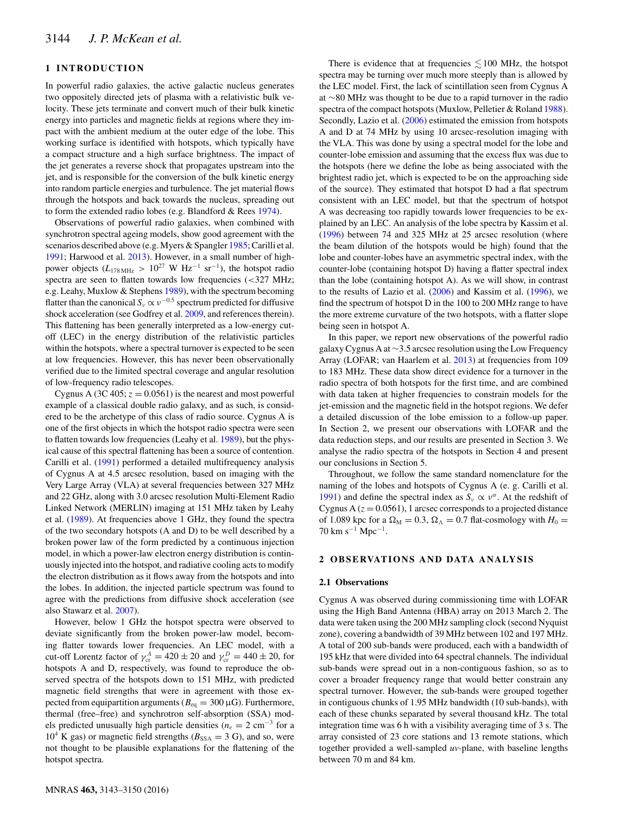# **1 INTRODUCTION**

In powerful radio galaxies, the active galactic nucleus generates two oppositely directed jets of plasma with a relativistic bulk velocity. These jets terminate and convert much of their bulk kinetic energy into particles and magnetic fields at regions where they impact with the ambient medium at the outer edge of the lobe. This working surface is identified with hotspots, which typically have a compact structure and a high surface brightness. The impact of the jet generates a reverse shock that propagates upstream into the jet, and is responsible for the conversion of the bulk kinetic energy into random particle energies and turbulence. The jet material flows through the hotspots and back towards the nucleus, spreading out to form the extended radio lobes (e.g. Blandford & Rees [1974\)](#page-6-10).

Observations of powerful radio galaxies, when combined with synchrotron spectral ageing models, show good agreement with the scenarios described above (e.g. Myers & Spangler [1985;](#page-6-11) Carilli et al. [1991;](#page-6-12) Harwood et al. [2013\)](#page-6-13). However, in a small number of highpower objects ( $L_{178\text{ MHz}} > 10^{27} \text{ W Hz}^{-1} \text{ sr}^{-1}$ ), the hotspot radio spectra are seen to flatten towards low frequencies  $\langle$  <327 MHz; e.g. Leahy, Muxlow & Stephens [1989\)](#page-6-14), with the spectrum becoming flatter than the canonical  $S_v \propto v^{-0.5}$  spectrum predicted for diffusive shock acceleration (see Godfrey et al. [2009,](#page-6-15) and references therein). This flattening has been generally interpreted as a low-energy cutoff (LEC) in the energy distribution of the relativistic particles within the hotspots, where a spectral turnover is expected to be seen at low frequencies. However, this has never been observationally verified due to the limited spectral coverage and angular resolution of low-frequency radio telescopes.

Cygnus A (3C 405;  $z = 0.0561$ ) is the nearest and most powerful example of a classical double radio galaxy, and as such, is considered to be the archetype of this class of radio source. Cygnus A is one of the first objects in which the hotspot radio spectra were seen to flatten towards low frequencies (Leahy et al. [1989\)](#page-6-14), but the physical cause of this spectral flattening has been a source of contention. Carilli et al. [\(1991\)](#page-6-12) performed a detailed multifrequency analysis of Cygnus A at 4.5 arcsec resolution, based on imaging with the Very Large Array (VLA) at several frequencies between 327 MHz and 22 GHz, along with 3.0 arcsec resolution Multi-Element Radio Linked Network (MERLIN) imaging at 151 MHz taken by Leahy et al. [\(1989\)](#page-6-14). At frequencies above 1 GHz, they found the spectra of the two secondary hotspots (A and D) to be well described by a broken power law of the form predicted by a continuous injection model, in which a power-law electron energy distribution is continuously injected into the hotspot, and radiative cooling acts to modify the electron distribution as it flows away from the hotspots and into the lobes. In addition, the injected particle spectrum was found to agree with the predictions from diffusive shock acceleration (see also Stawarz et al. [2007\)](#page-6-16).

However, below 1 GHz the hotspot spectra were observed to deviate significantly from the broken power-law model, becoming flatter towards lower frequencies. An LEC model, with a cut-off Lorentz factor of  $\gamma_{cr}^A = 420 \pm 20$  and  $\gamma_{cr}^D = 440 \pm 20$ , for hotspots A and D, respectively, was found to reproduce the observed spectra of the hotspots down to 151 MHz, with predicted magnetic field strengths that were in agreement with those expected from equipartition arguments ( $B_{eq} = 300 \,\mu\text{G}$ ). Furthermore, thermal (free–free) and synchrotron self-absorption (SSA) models predicted unusually high particle densities (*ne* <sup>=</sup> 2 cm−<sup>3</sup> for a  $10^4$  K gas) or magnetic field strengths ( $B_{SSA} = 3$  G), and so, were not thought to be plausible explanations for the flattening of the hotspot spectra.

spectra may be turning over much more steeply than is allowed by the LEC model. First, the lack of scintillation seen from Cygnus A at ∼80 MHz was thought to be due to a rapid turnover in the radio spectra of the compact hotspots (Muxlow, Pelletier & Roland [1988\)](#page-6-17). Secondly, Lazio et al. [\(2006\)](#page-6-18) estimated the emission from hotspots A and D at 74 MHz by using 10 arcsec-resolution imaging with the VLA. This was done by using a spectral model for the lobe and counter-lobe emission and assuming that the excess flux was due to the hotspots (here we define the lobe as being associated with the brightest radio jet, which is expected to be on the approaching side of the source). They estimated that hotspot D had a flat spectrum consistent with an LEC model, but that the spectrum of hotspot A was decreasing too rapidly towards lower frequencies to be explained by an LEC. An analysis of the lobe spectra by Kassim et al. [\(1996\)](#page-6-19) between 74 and 325 MHz at 25 arcsec resolution (where the beam dilution of the hotspots would be high) found that the lobe and counter-lobes have an asymmetric spectral index, with the counter-lobe (containing hotspot D) having a flatter spectral index than the lobe (containing hotspot A). As we will show, in contrast to the results of Lazio et al. [\(2006\)](#page-6-18) and Kassim et al. [\(1996\)](#page-6-19), we find the spectrum of hotspot D in the 100 to 200 MHz range to have the more extreme curvature of the two hotspots, with a flatter slope being seen in hotspot A.

There is evidence that at frequencies  $\lesssim 100$  MHz, the hotspot

In this paper, we report new observations of the powerful radio galaxy Cygnus A at ∼3.5 arcsec resolution using the Low Frequency Array (LOFAR; van Haarlem et al. [2013\)](#page-6-20) at frequencies from 109 to 183 MHz. These data show direct evidence for a turnover in the radio spectra of both hotspots for the first time, and are combined with data taken at higher frequencies to constrain models for the jet-emission and the magnetic field in the hotspot regions. We defer a detailed discussion of the lobe emission to a follow-up paper. In Section 2, we present our observations with LOFAR and the data reduction steps, and our results are presented in Section 3. We analyse the radio spectra of the hotspots in Section 4 and present our conclusions in Section 5.

Throughout, we follow the same standard nomenclature for the naming of the lobes and hotspots of Cygnus A (e. g. Carilli et al. [1991\)](#page-6-12) and define the spectral index as  $S_v \propto v^{\alpha}$ . At the redshift of Cygnus A  $(z = 0.0561)$ , 1 arcsec corresponds to a projected distance of 1.089 kpc for a  $\Omega_M = 0.3$ ,  $\Omega_A = 0.7$  flat-cosmology with  $H_0 =$  $70 \text{ km s}^{-1} \text{ Mpc}^{-1}$ .

## **2 OBSERVATIONS AND DATA ANALYSIS**

#### **2.1 Observations**

Cygnus A was observed during commissioning time with LOFAR using the High Band Antenna (HBA) array on 2013 March 2. The data were taken using the 200 MHz sampling clock (second Nyquist zone), covering a bandwidth of 39 MHz between 102 and 197 MHz. A total of 200 sub-bands were produced, each with a bandwidth of 195 kHz that were divided into 64 spectral channels. The individual sub-bands were spread out in a non-contiguous fashion, so as to cover a broader frequency range that would better constrain any spectral turnover. However, the sub-bands were grouped together in contiguous chunks of 1.95 MHz bandwidth (10 sub-bands), with each of these chunks separated by several thousand kHz. The total integration time was 6 h with a visibility averaging time of 3 s. The array consisted of 23 core stations and 13 remote stations, which together provided a well-sampled *uv-*plane, with baseline lengths between 70 m and 84 km.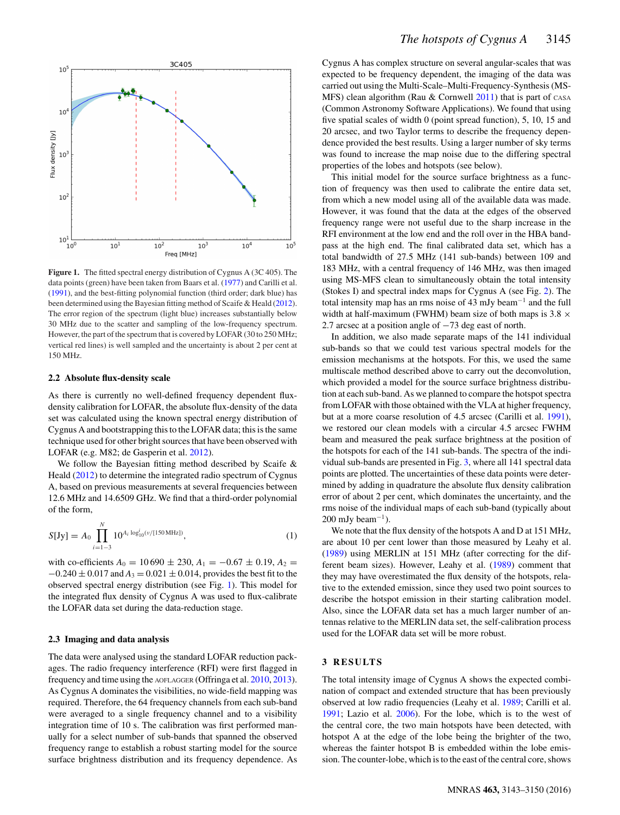<span id="page-2-0"></span>

**Figure 1.** The fitted spectral energy distribution of Cygnus A (3C 405). The data points (green) have been taken from Baars et al. [\(1977\)](#page-6-21) and Carilli et al. [\(1991\)](#page-6-12), and the best-fitting polynomial function (third order; dark blue) has been determined using the Bayesian fitting method of Scaife & Heald [\(2012\)](#page-6-22). The error region of the spectrum (light blue) increases substantially below 30 MHz due to the scatter and sampling of the low-frequency spectrum. However, the part of the spectrum that is covered by LOFAR (30 to 250 MHz; vertical red lines) is well sampled and the uncertainty is about 2 per cent at 150 MHz.

## **2.2 Absolute flux-density scale**

As there is currently no well-defined frequency dependent fluxdensity calibration for LOFAR, the absolute flux-density of the data set was calculated using the known spectral energy distribution of Cygnus A and bootstrapping this to the LOFAR data; this is the same technique used for other bright sources that have been observed with LOFAR (e.g. M82; de Gasperin et al. [2012\)](#page-6-23).

We follow the Bayesian fitting method described by Scaife & Heald [\(2012\)](#page-6-22) to determine the integrated radio spectrum of Cygnus A, based on previous measurements at several frequencies between 12.6 MHz and 14.6509 GHz. We find that a third-order polynomial of the form,

$$
S[Jy] = A_0 \prod_{i=1-3}^{N} 10^{A_i \log_{10}^i(\nu/[150 \text{ MHz}])},
$$
 (1)

with co-efficients  $A_0 = 10690 \pm 230$ ,  $A_1 = -0.67 \pm 0.19$ ,  $A_2 =$  $-0.240 \pm 0.017$  and  $A_3 = 0.021 \pm 0.014$ , provides the best fit to the observed spectral energy distribution (see Fig. [1\)](#page-2-0). This model for the integrated flux density of Cygnus A was used to flux-calibrate the LOFAR data set during the data-reduction stage.

#### **2.3 Imaging and data analysis**

The data were analysed using the standard LOFAR reduction packages. The radio frequency interference (RFI) were first flagged in frequency and time using the AOFLAGGER (Offringa et al. [2010,](#page-6-24) [2013\)](#page-6-25). As Cygnus A dominates the visibilities, no wide-field mapping was required. Therefore, the 64 frequency channels from each sub-band were averaged to a single frequency channel and to a visibility integration time of 10 s. The calibration was first performed manually for a select number of sub-bands that spanned the observed frequency range to establish a robust starting model for the source surface brightness distribution and its frequency dependence. As Cygnus A has complex structure on several angular-scales that was expected to be frequency dependent, the imaging of the data was carried out using the Multi-Scale–Multi-Frequency-Synthesis (MS-MFS) clean algorithm (Rau  $&$  Cornwell [2011\)](#page-6-26) that is part of CASA (Common Astronomy Software Applications). We found that using five spatial scales of width 0 (point spread function), 5, 10, 15 and 20 arcsec, and two Taylor terms to describe the frequency dependence provided the best results. Using a larger number of sky terms was found to increase the map noise due to the differing spectral properties of the lobes and hotspots (see below).

This initial model for the source surface brightness as a function of frequency was then used to calibrate the entire data set, from which a new model using all of the available data was made. However, it was found that the data at the edges of the observed frequency range were not useful due to the sharp increase in the RFI environment at the low end and the roll over in the HBA bandpass at the high end. The final calibrated data set, which has a total bandwidth of 27.5 MHz (141 sub-bands) between 109 and 183 MHz, with a central frequency of 146 MHz, was then imaged using MS-MFS clean to simultaneously obtain the total intensity (Stokes I) and spectral index maps for Cygnus A (see Fig. [2\)](#page-3-0). The total intensity map has an rms noise of 43 mJy beam−<sup>1</sup> and the full width at half-maximum (FWHM) beam size of both maps is  $3.8 \times$ 2.7 arcsec at a position angle of −73 deg east of north.

In addition, we also made separate maps of the 141 individual sub-bands so that we could test various spectral models for the emission mechanisms at the hotspots. For this, we used the same multiscale method described above to carry out the deconvolution, which provided a model for the source surface brightness distribution at each sub-band. As we planned to compare the hotspot spectra from LOFAR with those obtained with the VLA at higher frequency, but at a more coarse resolution of 4.5 arcsec (Carilli et al. [1991\)](#page-6-12), we restored our clean models with a circular 4.5 arcsec FWHM beam and measured the peak surface brightness at the position of the hotspots for each of the 141 sub-bands. The spectra of the individual sub-bands are presented in Fig. [3,](#page-4-0) where all 141 spectral data points are plotted. The uncertainties of these data points were determined by adding in quadrature the absolute flux density calibration error of about 2 per cent, which dominates the uncertainty, and the rms noise of the individual maps of each sub-band (typically about  $200$  mJy beam<sup>-1</sup>).

We note that the flux density of the hotspots A and D at 151 MHz, are about 10 per cent lower than those measured by Leahy et al. [\(1989\)](#page-6-14) using MERLIN at 151 MHz (after correcting for the different beam sizes). However, Leahy et al. [\(1989\)](#page-6-14) comment that they may have overestimated the flux density of the hotspots, relative to the extended emission, since they used two point sources to describe the hotspot emission in their starting calibration model. Also, since the LOFAR data set has a much larger number of antennas relative to the MERLIN data set, the self-calibration process used for the LOFAR data set will be more robust.

## **3 RESULTS**

The total intensity image of Cygnus A shows the expected combination of compact and extended structure that has been previously observed at low radio frequencies (Leahy et al. [1989;](#page-6-14) Carilli et al. [1991;](#page-6-12) Lazio et al. [2006\)](#page-6-18). For the lobe, which is to the west of the central core, the two main hotspots have been detected, with hotspot A at the edge of the lobe being the brighter of the two, whereas the fainter hotspot B is embedded within the lobe emission. The counter-lobe, which is to the east of the central core, shows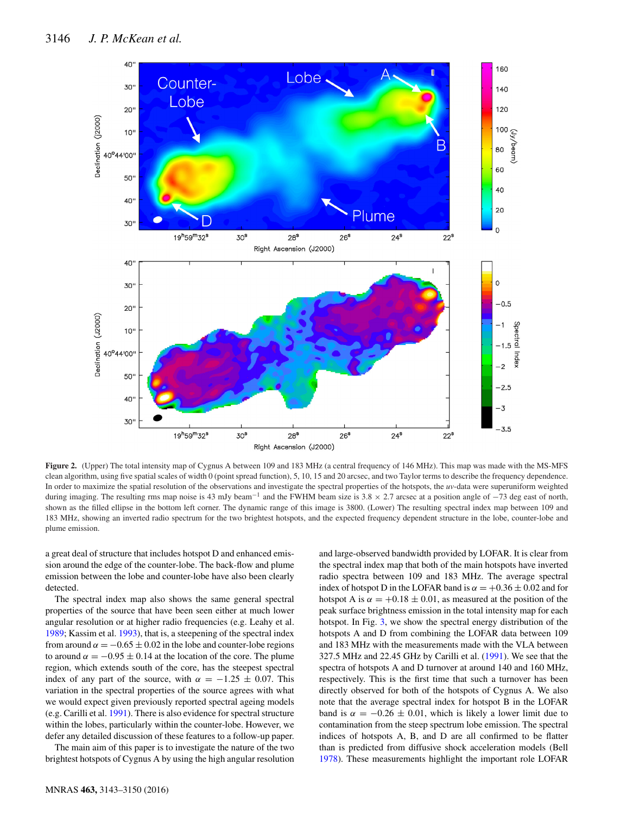<span id="page-3-0"></span>

**Figure 2.** (Upper) The total intensity map of Cygnus A between 109 and 183 MHz (a central frequency of 146 MHz). This map was made with the MS-MFS clean algorithm, using five spatial scales of width 0 (point spread function), 5, 10, 15 and 20 arcsec, and two Taylor terms to describe the frequency dependence. In order to maximize the spatial resolution of the observations and investigate the spectral properties of the hotspots, the *uv*-data were superuniform weighted during imaging. The resulting rms map noise is 43 mJy beam<sup>-1</sup> and the FWHM beam size is 3.8  $\times$  2.7 arcsec at a position angle of  $-73$  deg east of north, shown as the filled ellipse in the bottom left corner. The dynamic range of this image is 3800. (Lower) The resulting spectral index map between 109 and 183 MHz, showing an inverted radio spectrum for the two brightest hotspots, and the expected frequency dependent structure in the lobe, counter-lobe and plume emission.

a great deal of structure that includes hotspot D and enhanced emission around the edge of the counter-lobe. The back-flow and plume emission between the lobe and counter-lobe have also been clearly detected.

The spectral index map also shows the same general spectral properties of the source that have been seen either at much lower angular resolution or at higher radio frequencies (e.g. Leahy et al. [1989;](#page-6-14) Kassim et al. [1993\)](#page-6-27), that is, a steepening of the spectral index from around  $\alpha = -0.65 \pm 0.02$  in the lobe and counter-lobe regions to around  $\alpha = -0.95 \pm 0.14$  at the location of the core. The plume region, which extends south of the core, has the steepest spectral index of any part of the source, with  $\alpha = -1.25 \pm 0.07$ . This variation in the spectral properties of the source agrees with what we would expect given previously reported spectral ageing models (e.g. Carilli et al. [1991\)](#page-6-12). There is also evidence for spectral structure within the lobes, particularly within the counter-lobe. However, we defer any detailed discussion of these features to a follow-up paper.

The main aim of this paper is to investigate the nature of the two brightest hotspots of Cygnus A by using the high angular resolution

MNRAS **463,** 3143–3150 (2016)

and large-observed bandwidth provided by LOFAR. It is clear from the spectral index map that both of the main hotspots have inverted radio spectra between 109 and 183 MHz. The average spectral index of hotspot D in the LOFAR band is  $\alpha = +0.36 \pm 0.02$  and for hotspot A is  $\alpha = +0.18 \pm 0.01$ , as measured at the position of the peak surface brightness emission in the total intensity map for each hotspot. In Fig. [3,](#page-4-0) we show the spectral energy distribution of the hotspots A and D from combining the LOFAR data between 109 and 183 MHz with the measurements made with the VLA between 327.5 MHz and 22.45 GHz by Carilli et al. [\(1991\)](#page-6-12). We see that the spectra of hotspots A and D turnover at around 140 and 160 MHz, respectively. This is the first time that such a turnover has been directly observed for both of the hotspots of Cygnus A. We also note that the average spectral index for hotspot B in the LOFAR band is  $\alpha = -0.26 \pm 0.01$ , which is likely a lower limit due to contamination from the steep spectrum lobe emission. The spectral indices of hotspots A, B, and D are all confirmed to be flatter than is predicted from diffusive shock acceleration models (Bell [1978\)](#page-6-28). These measurements highlight the important role LOFAR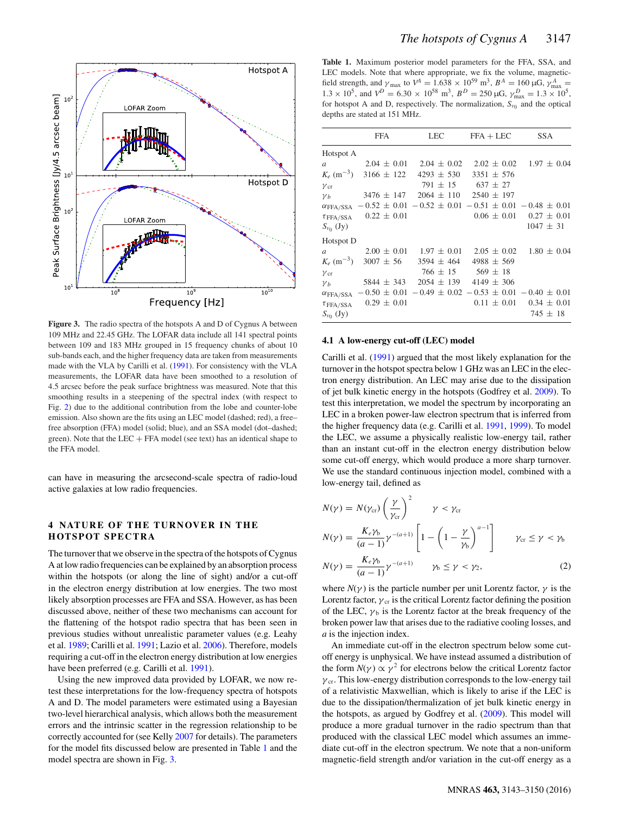<span id="page-4-0"></span>

**Figure 3.** The radio spectra of the hotspots A and D of Cygnus A between 109 MHz and 22.45 GHz. The LOFAR data include all 141 spectral points between 109 and 183 MHz grouped in 15 frequency chunks of about 10 sub-bands each, and the higher frequency data are taken from measurements made with the VLA by Carilli et al. [\(1991\)](#page-6-12). For consistency with the VLA measurements, the LOFAR data have been smoothed to a resolution of 4.5 arcsec before the peak surface brightness was measured. Note that this smoothing results in a steepening of the spectral index (with respect to Fig. [2\)](#page-3-0) due to the additional contribution from the lobe and counter-lobe emission. Also shown are the fits using an LEC model (dashed; red), a free– free absorption (FFA) model (solid; blue), and an SSA model (dot–dashed; green). Note that the LEC + FFA model (see text) has an identical shape to the FFA model.

can have in measuring the arcsecond-scale spectra of radio-loud active galaxies at low radio frequencies.

## **4 NATURE OF THE TURNOVER IN THE HOTSPOT SPECTRA**

The turnover that we observe in the spectra of the hotspots of Cygnus A at low radio frequencies can be explained by an absorption process within the hotspots (or along the line of sight) and/or a cut-off in the electron energy distribution at low energies. The two most likely absorption processes are FFA and SSA. However, as has been discussed above, neither of these two mechanisms can account for the flattening of the hotspot radio spectra that has been seen in previous studies without unrealistic parameter values (e.g. Leahy et al. [1989;](#page-6-14) Carilli et al. [1991;](#page-6-12) Lazio et al. [2006\)](#page-6-18). Therefore, models requiring a cut-off in the electron energy distribution at low energies have been preferred (e.g. Carilli et al. [1991\)](#page-6-12).

Using the new improved data provided by LOFAR, we now retest these interpretations for the low-frequency spectra of hotspots A and D. The model parameters were estimated using a Bayesian two-level hierarchical analysis, which allows both the measurement errors and the intrinsic scatter in the regression relationship to be correctly accounted for (see Kelly [2007](#page-6-29) for details). The parameters for the model fits discussed below are presented in Table [1](#page-4-1) and the model spectra are shown in Fig. [3.](#page-4-0)

<span id="page-4-1"></span>**Table 1.** Maximum posterior model parameters for the FFA, SSA, and LEC models. Note that where appropriate, we fix the volume, magneticfield strength, and  $\gamma_{\text{max}}$  to  $V^A = 1.638 \times 10^{59} \text{ m}^3$ ,  $B^A = 160 \mu \text{G}$ ,  $\gamma_{\text{max}}^A = 1.638 \times 10^{59} \text{ m}^3$ ,  $B^A = 1.60 \mu \text{G}$ ,  $\gamma_{\text{max}}^A = 1.638 \mu \text{G}$  $1.3 \times 10^5$ , and  $V^D = 6.30 \times 10^{58}$  m<sup>3</sup>,  $B^D = 250 \mu$ G,  $\gamma_{\text{max}}^D = 1.3 \times 10^5$ , for hotspot A and D, respectively. The normalization,  $S_{v_0}$  and the optical depths are stated at 151 MHz.

|                   | FFA                                     | <b>LEC</b>                                                       | $FFA + LEC$               | <b>SSA</b>      |
|-------------------|-----------------------------------------|------------------------------------------------------------------|---------------------------|-----------------|
| Hotspot A         |                                         |                                                                  |                           |                 |
| $\mathfrak{a}$    |                                         | $2.04 \pm 0.01$ $2.04 \pm 0.02$ $2.02 \pm 0.02$ $1.97 \pm 0.04$  |                           |                 |
|                   | $K_e$ (m <sup>-3</sup> ) 3166 $\pm$ 122 | $4293 \pm 530$                                                   | $3351 + 576$              |                 |
| $\gamma_{cr}$     |                                         | $791 \pm 15$                                                     | $637 \pm 27$              |                 |
| $\gamma_b$        | $3476 \pm 147$                          | $2064 + 110$                                                     | $2540 \pm 197$            |                 |
| $\alpha$ FFA/SSA  |                                         | $-0.52 \pm 0.01 - 0.52 \pm 0.01 - 0.51 \pm 0.01 - 0.48 \pm 0.01$ |                           |                 |
| $\tau$ FFA/SSA    | $0.22 \pm 0.01$                         |                                                                  | $0.06 \pm 0.01$           | $0.27 \pm 0.01$ |
| $S_{\nu_0}$ (Jy)  |                                         |                                                                  |                           | $1047 \pm 31$   |
| Hotspot D         |                                         |                                                                  |                           |                 |
| $\mathfrak a$     |                                         | $2.00 \pm 0.01$ $1.97 \pm 0.01$ $2.05 \pm 0.02$                  |                           | $1.80 \pm 0.04$ |
|                   | $K_e$ (m <sup>-3</sup> ) 3007 $\pm$ 56  | $3594 \pm 464$                                                   | $4988 \pm 569$            |                 |
| $\gamma_{\rm cr}$ |                                         |                                                                  | $766 \pm 15$ 569 $\pm 18$ |                 |
| $\gamma_b$        | $5844 \pm 343$                          | $2054 \pm 139$                                                   | $4149 \pm 306$            |                 |
| $\alpha$ FFA/SSA  |                                         | $-0.50 \pm 0.01 - 0.49 \pm 0.02 - 0.53 \pm 0.01 - 0.40 \pm 0.01$ |                           |                 |
| $\tau$ FFA/SSA    | $0.29 \pm 0.01$                         |                                                                  | $0.11 \pm 0.01$           | $0.34 \pm 0.01$ |
| $S_{v_0}$ (Jy)    |                                         |                                                                  |                           | $745 \pm 18$    |

### **4.1 A low-energy cut-off (LEC) model**

Carilli et al. [\(1991\)](#page-6-12) argued that the most likely explanation for the turnover in the hotspot spectra below 1 GHz was an LEC in the electron energy distribution. An LEC may arise due to the dissipation of jet bulk kinetic energy in the hotspots (Godfrey et al. [2009\)](#page-6-15). To test this interpretation, we model the spectrum by incorporating an LEC in a broken power-law electron spectrum that is inferred from the higher frequency data (e.g. Carilli et al. [1991,](#page-6-12) [1999\)](#page-6-30). To model the LEC, we assume a physically realistic low-energy tail, rather than an instant cut-off in the electron energy distribution below some cut-off energy, which would produce a more sharp turnover. We use the standard continuous injection model, combined with a low-energy tail, defined as

$$
N(\gamma) = N(\gamma_{cr}) \left(\frac{\gamma}{\gamma_{cr}}\right)^2 \qquad \gamma < \gamma_{cr}
$$
\n
$$
N(\gamma) = \frac{K_e \gamma_b}{(a-1)} \gamma^{-(a+1)} \left[1 - \left(1 - \frac{\gamma}{\gamma_b}\right)^{a-1}\right] \qquad \gamma_{cr} \le \gamma < \gamma_b
$$
\n
$$
N(\gamma) = \frac{K_e \gamma_b}{(a-1)} \gamma^{-(a+1)} \qquad \gamma_b \le \gamma < \gamma_2,\tag{2}
$$

where  $N(\gamma)$  is the particle number per unit Lorentz factor,  $\gamma$  is the Lorentz factor,  $\gamma_{cr}$  is the critical Lorentz factor defining the position of the LEC,  $\gamma_b$  is the Lorentz factor at the break frequency of the broken power law that arises due to the radiative cooling losses, and *a* is the injection index.

An immediate cut-off in the electron spectrum below some cutoff energy is unphysical. We have instead assumed a distribution of the form  $N(\gamma) \propto \gamma^2$  for electrons below the critical Lorentz factor  $\gamma_{cr}$ . This low-energy distribution corresponds to the low-energy tail of a relativistic Maxwellian, which is likely to arise if the LEC is due to the dissipation/thermalization of jet bulk kinetic energy in the hotspots, as argued by Godfrey et al. [\(2009\)](#page-6-15). This model will produce a more gradual turnover in the radio spectrum than that produced with the classical LEC model which assumes an immediate cut-off in the electron spectrum. We note that a non-uniform magnetic-field strength and/or variation in the cut-off energy as a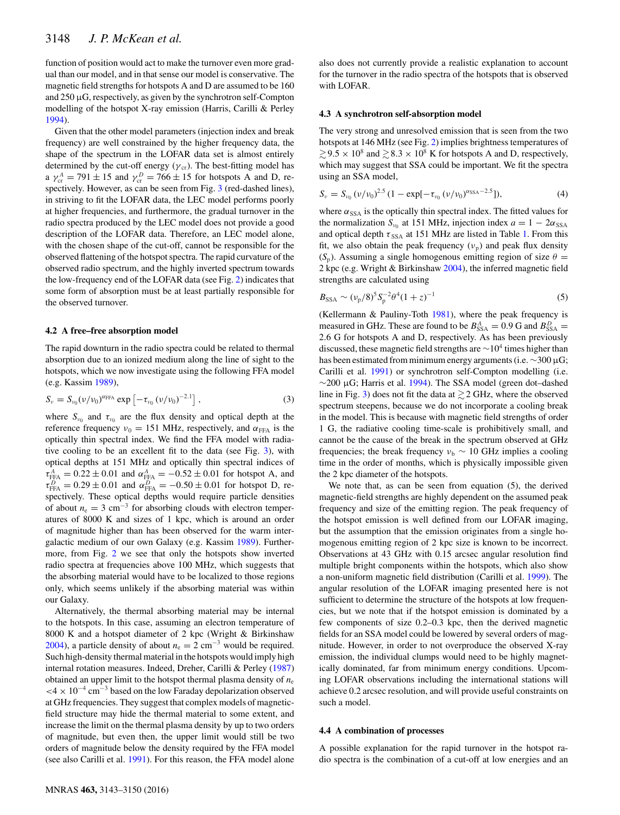function of position would act to make the turnover even more gradual than our model, and in that sense our model is conservative. The magnetic field strengths for hotspots A and D are assumed to be 160 and 250 µG, respectively, as given by the synchrotron self-Compton modelling of the hotspot X-ray emission (Harris, Carilli & Perley [1994\)](#page-6-31).

Given that the other model parameters (injection index and break frequency) are well constrained by the higher frequency data, the shape of the spectrum in the LOFAR data set is almost entirely determined by the cut-off energy ( $\gamma$ <sub>cr</sub>). The best-fitting model has a  $\gamma_{cr}^A = 791 \pm 15$  and  $\gamma_{cr}^D = 766 \pm 15$  for hotspots A and D, respectively. However, as can be seen from Fig. [3](#page-4-0) (red-dashed lines), in striving to fit the LOFAR data, the LEC model performs poorly at higher frequencies, and furthermore, the gradual turnover in the radio spectra produced by the LEC model does not provide a good description of the LOFAR data. Therefore, an LEC model alone, with the chosen shape of the cut-off, cannot be responsible for the observed flattening of the hotspot spectra. The rapid curvature of the observed radio spectrum, and the highly inverted spectrum towards the low-frequency end of the LOFAR data (see Fig. [2\)](#page-3-0) indicates that some form of absorption must be at least partially responsible for the observed turnover.

### **4.2 A free–free absorption model**

The rapid downturn in the radio spectra could be related to thermal absorption due to an ionized medium along the line of sight to the hotspots, which we now investigate using the following FFA model (e.g. Kassim [1989\)](#page-6-32),

$$
S_{\nu} = S_{\nu_0} (\nu / \nu_0)^{\alpha_{\text{FFA}}} \exp \left[ -\tau_{\nu_0} (\nu / \nu_0)^{-2.1} \right], \tag{3}
$$

where  $S_{v_0}$  and  $\tau_{v_0}$  are the flux density and optical depth at the reference frequency  $v_0 = 151$  MHz, respectively, and  $\alpha_{\text{FFA}}$  is the optically thin spectral index. We find the FFA model with radiative cooling to be an excellent fit to the data (see Fig. [3\)](#page-4-0), with optical depths at 151 MHz and optically thin spectral indices of  $\tau_{\text{FFA}}^A = 0.22 \pm 0.01$  and  $\alpha_{\text{FFA}}^A = -0.52 \pm 0.01$  for hotspot A, and  $\tau_{\text{FFA}}^D = 0.29 \pm 0.01$  and  $\alpha_{\text{FFA}}^D = -0.50 \pm 0.01$  for hotspot D, respectively. These optical depths would require particle densities of about  $n_e = 3$  cm<sup>-3</sup> for absorbing clouds with electron temperatures of 8000 K and sizes of 1 kpc, which is around an order of magnitude higher than has been observed for the warm intergalactic medium of our own Galaxy (e.g. Kassim [1989\)](#page-6-32). Furthermore, from Fig. [2](#page-3-0) we see that only the hotspots show inverted radio spectra at frequencies above 100 MHz, which suggests that the absorbing material would have to be localized to those regions only, which seems unlikely if the absorbing material was within our Galaxy.

Alternatively, the thermal absorbing material may be internal to the hotspots. In this case, assuming an electron temperature of 8000 K and a hotspot diameter of 2 kpc (Wright & Birkinshaw [2004\)](#page-6-33), a particle density of about  $n_e = 2$  cm<sup>-3</sup> would be required. Such high-density thermal material in the hotspots would imply high internal rotation measures. Indeed, Dreher, Carilli & Perley [\(1987\)](#page-6-34) obtained an upper limit to the hotspot thermal plasma density of *n*<sup>e</sup>  $<$ 4 × 10<sup>-4</sup> cm<sup>-3</sup> based on the low Faraday depolarization observed at GHz frequencies. They suggest that complex models of magneticfield structure may hide the thermal material to some extent, and increase the limit on the thermal plasma density by up to two orders of magnitude, but even then, the upper limit would still be two orders of magnitude below the density required by the FFA model (see also Carilli et al. [1991\)](#page-6-12). For this reason, the FFA model alone

also does not currently provide a realistic explanation to account for the turnover in the radio spectra of the hotspots that is observed with LOFAR.

#### **4.3 A synchrotron self-absorption model**

The very strong and unresolved emission that is seen from the two hotspots at 146 MHz (see Fig. [2\)](#page-3-0) implies brightness temperatures of  $\geq 9.5 \times 10^8$  and  $\geq 8.3 \times 10^8$  K for hotspots A and D, respectively, which may suggest that SSA could be important. We fit the spectra using an SSA model,

$$
S_{\nu} = S_{\nu_0} (\nu/\nu_0)^{2.5} (1 - \exp[-\tau_{\nu_0} (\nu/\nu_0)^{\alpha_{\rm SSA}-2.5}]), \tag{4}
$$

where  $\alpha_{SSA}$  is the optically thin spectral index. The fitted values for the normalization  $S_{\nu_0}$  at 151 MHz, injection index  $a = 1 - 2\alpha_{SSA}$ and optical depth  $\tau_{SSA}$  at 151 MHz are listed in Table [1.](#page-4-1) From this fit, we also obtain the peak frequency  $(v_p)$  and peak flux density  $(S_p)$ . Assuming a single homogenous emitting region of size  $\theta =$ 2 kpc (e.g. Wright & Birkinshaw [2004\)](#page-6-33), the inferred magnetic field strengths are calculated using

$$
B_{\rm SSA} \sim (\nu_{\rm p}/8)^5 S_{\rm p}^{-2} \theta^4 (1+z)^{-1} \tag{5}
$$

(Kellermann & Pauliny-Toth [1981\)](#page-6-35), where the peak frequency is measured in GHz. These are found to be  $B_{SSA}^A = 0.9$  G and  $B_{SSA}^D = 0.9$ 2.6 G for hotspots A and D, respectively. As has been previously discussed, these magnetic field strengths are  $\sim$ 10<sup>4</sup> times higher than has been estimated from minimum energy arguments (i.e.  $\sim$ 300 µG; Carilli et al. [1991\)](#page-6-12) or synchrotron self-Compton modelling (i.e.  $\sim$ 200 µG; Harris et al. [1994\)](#page-6-31). The SSA model (green dot–dashed line in Fig. [3\)](#page-4-0) does not fit the data at  $\geq$  2 GHz, where the observed spectrum steepens, because we do not incorporate a cooling break in the model. This is because with magnetic field strengths of order 1 G, the radiative cooling time-scale is prohibitively small, and cannot be the cause of the break in the spectrum observed at GHz frequencies; the break frequency  $v_b \sim 10$  GHz implies a cooling time in the order of months, which is physically impossible given the 2 kpc diameter of the hotspots.

We note that, as can be seen from equation (5), the derived magnetic-field strengths are highly dependent on the assumed peak frequency and size of the emitting region. The peak frequency of the hotspot emission is well defined from our LOFAR imaging, but the assumption that the emission originates from a single homogenous emitting region of 2 kpc size is known to be incorrect. Observations at 43 GHz with 0.15 arcsec angular resolution find multiple bright components within the hotspots, which also show a non-uniform magnetic field distribution (Carilli et al. [1999\)](#page-6-30). The angular resolution of the LOFAR imaging presented here is not sufficient to determine the structure of the hotspots at low frequencies, but we note that if the hotspot emission is dominated by a few components of size 0.2–0.3 kpc, then the derived magnetic fields for an SSA model could be lowered by several orders of magnitude. However, in order to not overproduce the observed X-ray emission, the individual clumps would need to be highly magnetically dominated, far from minimum energy conditions. Upcoming LOFAR observations including the international stations will achieve 0.2 arcsec resolution, and will provide useful constraints on such a model.

#### **4.4 A combination of processes**

A possible explanation for the rapid turnover in the hotspot radio spectra is the combination of a cut-off at low energies and an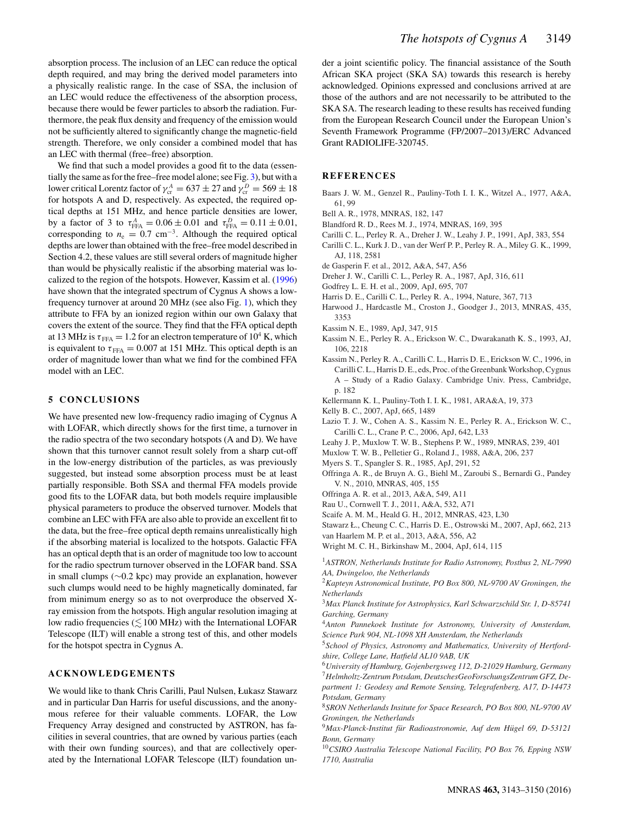absorption process. The inclusion of an LEC can reduce the optical depth required, and may bring the derived model parameters into a physically realistic range. In the case of SSA, the inclusion of an LEC would reduce the effectiveness of the absorption process, because there would be fewer particles to absorb the radiation. Furthermore, the peak flux density and frequency of the emission would not be sufficiently altered to significantly change the magnetic-field strength. Therefore, we only consider a combined model that has an LEC with thermal (free–free) absorption.

We find that such a model provides a good fit to the data (essentially the same as for the free–free model alone; see Fig. [3\)](#page-4-0), but with a lower critical Lorentz factor of  $\gamma_{cr}^A = 637 \pm 27$  and  $\gamma_{cr}^D = 569 \pm 18$ for hotspots A and D, respectively. As expected, the required optical depths at 151 MHz, and hence particle densities are lower, by a factor of 3 to  $\tau_{\text{FFA}}^A = 0.06 \pm 0.01$  and  $\tau_{\text{FFA}}^D = 0.11 \pm 0.01$ , corresponding to  $n_e = 0.7$  cm<sup>-3</sup>. Although the required optical depths are lower than obtained with the free–free model described in Section 4.2, these values are still several orders of magnitude higher than would be physically realistic if the absorbing material was localized to the region of the hotspots. However, Kassim et al. [\(1996\)](#page-6-19) have shown that the integrated spectrum of Cygnus A shows a lowfrequency turnover at around 20 MHz (see also Fig. [1\)](#page-2-0), which they attribute to FFA by an ionized region within our own Galaxy that covers the extent of the source. They find that the FFA optical depth at 13 MHz is  $\tau_{\text{FFA}} = 1.2$  for an electron temperature of 10<sup>4</sup> K, which is equivalent to  $\tau_{\text{FFA}} = 0.007$  at 151 MHz. This optical depth is an order of magnitude lower than what we find for the combined FFA model with an LEC.

## **5 CONCLUSIONS**

We have presented new low-frequency radio imaging of Cygnus A with LOFAR, which directly shows for the first time, a turnover in the radio spectra of the two secondary hotspots (A and D). We have shown that this turnover cannot result solely from a sharp cut-off in the low-energy distribution of the particles, as was previously suggested, but instead some absorption process must be at least partially responsible. Both SSA and thermal FFA models provide good fits to the LOFAR data, but both models require implausible physical parameters to produce the observed turnover. Models that combine an LEC with FFA are also able to provide an excellent fit to the data, but the free–free optical depth remains unrealistically high if the absorbing material is localized to the hotspots. Galactic FFA has an optical depth that is an order of magnitude too low to account for the radio spectrum turnover observed in the LOFAR band. SSA in small clumps (∼0.2 kpc) may provide an explanation, however such clumps would need to be highly magnetically dominated, far from minimum energy so as to not overproduce the observed Xray emission from the hotspots. High angular resolution imaging at low radio frequencies ( $\lesssim$  100 MHz) with the International LOFAR Telescope (ILT) will enable a strong test of this, and other models for the hotspot spectra in Cygnus A.

## **ACKNOWLEDGEMENTS**

We would like to thank Chris Carilli, Paul Nulsen, Łukasz Stawarz and in particular Dan Harris for useful discussions, and the anonymous referee for their valuable comments. LOFAR, the Low Frequency Array designed and constructed by ASTRON, has facilities in several countries, that are owned by various parties (each with their own funding sources), and that are collectively operated by the International LOFAR Telescope (ILT) foundation under a joint scientific policy. The financial assistance of the South African SKA project (SKA SA) towards this research is hereby acknowledged. Opinions expressed and conclusions arrived at are those of the authors and are not necessarily to be attributed to the SKA SA. The research leading to these results has received funding from the European Research Council under the European Union's Seventh Framework Programme (FP/2007–2013)/ERC Advanced Grant RADIOLIFE-320745.

### **REFERENCES**

- <span id="page-6-21"></span>Baars J. W. M., Genzel R., Pauliny-Toth I. I. K., Witzel A., 1977, A&A, 61, 99
- <span id="page-6-28"></span>Bell A. R., 1978, MNRAS, 182, 147
- <span id="page-6-10"></span>Blandford R. D., Rees M. J., 1974, MNRAS, 169, 395
- <span id="page-6-12"></span>Carilli C. L., Perley R. A., Dreher J. W., Leahy J. P., 1991, ApJ, 383, 554
- <span id="page-6-30"></span>Carilli C. L., Kurk J. D., van der Werf P. P., Perley R. A., Miley G. K., 1999, AJ, 118, 2581
- <span id="page-6-23"></span>de Gasperin F. et al., 2012, A&A, 547, A56
- <span id="page-6-34"></span>Dreher J. W., Carilli C. L., Perley R. A., 1987, ApJ, 316, 611
- <span id="page-6-15"></span>Godfrey L. E. H. et al., 2009, ApJ, 695, 707
- <span id="page-6-31"></span>Harris D. E., Carilli C. L., Perley R. A., 1994, Nature, 367, 713
- <span id="page-6-13"></span>Harwood J., Hardcastle M., Croston J., Goodger J., 2013, MNRAS, 435, 3353
- <span id="page-6-32"></span>Kassim N. E., 1989, ApJ, 347, 915
- <span id="page-6-27"></span>Kassim N. E., Perley R. A., Erickson W. C., Dwarakanath K. S., 1993, AJ, 106, 2218
- <span id="page-6-19"></span>Kassim N., Perley R. A., Carilli C. L., Harris D. E., Erickson W. C., 1996, in Carilli C. L., Harris D. E., eds, Proc. of the Greenbank Workshop, Cygnus A – Study of a Radio Galaxy. Cambridge Univ. Press, Cambridge, p. 182
- <span id="page-6-35"></span>Kellermann K. I., Pauliny-Toth I. I. K., 1981, ARA&A, 19, 373
- <span id="page-6-29"></span>Kelly B. C., 2007, ApJ, 665, 1489
- <span id="page-6-18"></span>Lazio T. J. W., Cohen A. S., Kassim N. E., Perley R. A., Erickson W. C., Carilli C. L., Crane P. C., 2006, ApJ, 642, L33
- <span id="page-6-14"></span>Leahy J. P., Muxlow T. W. B., Stephens P. W., 1989, MNRAS, 239, 401
- <span id="page-6-17"></span>Muxlow T. W. B., Pelletier G., Roland J., 1988, A&A, 206, 237
- <span id="page-6-11"></span>Myers S. T., Spangler S. R., 1985, ApJ, 291, 52
- <span id="page-6-24"></span>Offringa A. R., de Bruyn A. G., Biehl M., Zaroubi S., Bernardi G., Pandey V. N., 2010, MNRAS, 405, 155
- <span id="page-6-25"></span>Offringa A. R. et al., 2013, A&A, 549, A11
- <span id="page-6-26"></span>Rau U., Cornwell T. J., 2011, A&A, 532, A71
- <span id="page-6-22"></span>Scaife A. M. M., Heald G. H., 2012, MNRAS, 423, L30
- <span id="page-6-16"></span>Stawarz Ł., Cheung C. C., Harris D. E., Ostrowski M., 2007, ApJ, 662, 213
- <span id="page-6-20"></span>van Haarlem M. P. et al., 2013, A&A, 556, A2
- <span id="page-6-33"></span>Wright M. C. H., Birkinshaw M., 2004, ApJ, 614, 115

<span id="page-6-0"></span><sup>1</sup>*ASTRON, Netherlands Institute for Radio Astronomy, Postbus 2, NL-7990 AA, Dwingeloo, the Netherlands*

<span id="page-6-1"></span><sup>2</sup>*Kapteyn Astronomical Institute, PO Box 800, NL-9700 AV Groningen, the Netherlands*

<span id="page-6-2"></span><sup>3</sup>*Max Planck Institute for Astrophysics, Karl Schwarzschild Str. 1, D-85741 Garching, Germany*

<span id="page-6-6"></span><span id="page-6-5"></span><sup>6</sup>*University of Hamburg, Gojenbergsweg 112, D-21029 Hamburg, Germany* <sup>7</sup>*Helmholtz-Zentrum Potsdam, DeutschesGeoForschungsZentrum GFZ, Department 1: Geodesy and Remote Sensing, Telegrafenberg, A17, D-14473 Potsdam, Germany*

<span id="page-6-7"></span><sup>8</sup>*SRON Netherlands Insitute for Space Research, PO Box 800, NL-9700 AV Groningen, the Netherlands*

<span id="page-6-8"></span><sup>9</sup>Max-Planck-Institut für Radioastronomie, Auf dem Hügel 69, D-53121 *Bonn, Germany*

<span id="page-6-9"></span><sup>10</sup>*CSIRO Australia Telescope National Facility, PO Box 76, Epping NSW 1710, Australia*

<span id="page-6-3"></span><sup>4</sup>*Anton Pannekoek Institute for Astronomy, University of Amsterdam, Science Park 904, NL-1098 XH Amsterdam, the Netherlands*

<span id="page-6-4"></span><sup>5</sup>*School of Physics, Astronomy and Mathematics, University of Hertfordshire, College Lane, Hatfield AL10 9AB, UK*